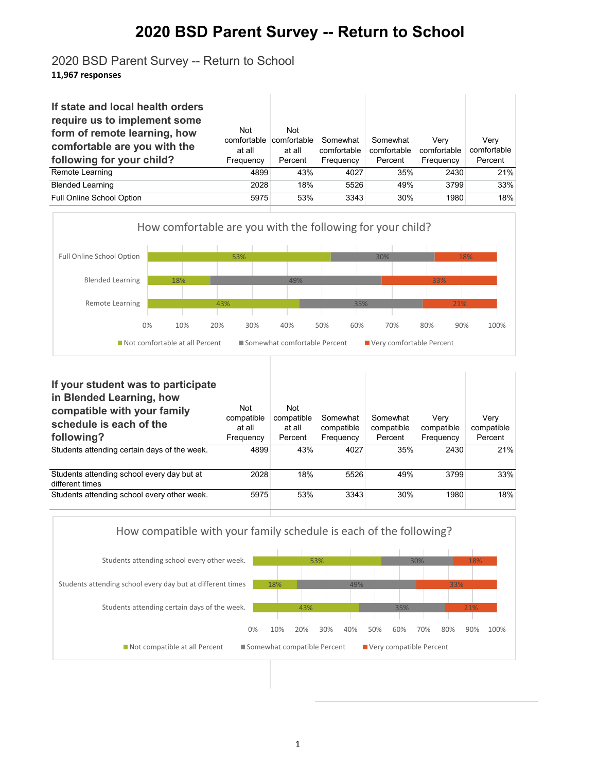## **2020 BSD Parent Survey -- Return to School**

## 2020 BSD Parent Survey -- Return to School **11,967 responses**

| If state and local health orders<br>require us to implement some<br>form of remote learning, how<br>comfortable are you with the<br>following for your child? | Not<br>comfortable<br>at all<br>Frequency | <b>Not</b><br>comfortable<br>at all<br>Percent | Somewhat<br>comfortable<br>Frequency | Somewhat<br>comfortable<br>Percent | Verv<br>comfortable<br>Frequency | Verv<br>comfortable<br>Percent |
|---------------------------------------------------------------------------------------------------------------------------------------------------------------|-------------------------------------------|------------------------------------------------|--------------------------------------|------------------------------------|----------------------------------|--------------------------------|
| Remote Learning                                                                                                                                               | 4899                                      | 43%                                            | 4027                                 | 35%                                | 2430                             | 21%                            |
| <b>Blended Learning</b>                                                                                                                                       | 2028                                      | 18%                                            | 5526                                 | 49%                                | 3799                             | 33%                            |
| Full Online School Option                                                                                                                                     | 5975                                      | 53%                                            | 3343                                 | 30%                                | 1980                             | 18%                            |



| If your student was to participate<br>in Blended Learning, how<br>compatible with your family<br>schedule is each of the<br>following? | Not<br>compatible<br>at all<br>Frequency | Not<br>compatible<br>at all<br>Percent | Somewhat<br>compatible<br>Frequency | Somewhat<br>compatible<br>Percent | Verv<br>compatible<br>Frequency | Verv<br>compatible<br>Percent |
|----------------------------------------------------------------------------------------------------------------------------------------|------------------------------------------|----------------------------------------|-------------------------------------|-----------------------------------|---------------------------------|-------------------------------|
| Students attending certain days of the week.                                                                                           | 4899                                     | 43%                                    | 4027                                | 35%                               | 2430                            | 21%                           |
| Students attending school every day but at<br>different times                                                                          | 2028                                     | 18%                                    | 5526                                | 49%                               | 3799                            | 33%                           |
| Students attending school every other week.                                                                                            | 5975                                     | 53%                                    | 3343                                | 30%                               | 1980                            | 18%                           |

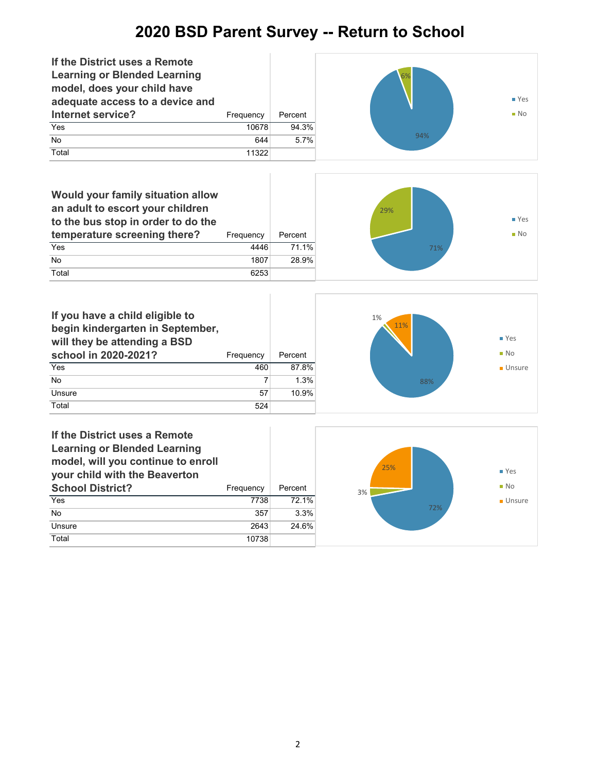## **2020 BSD Parent Survey -- Return to School**



2

Unsure 2643 24.6%

Total 10738